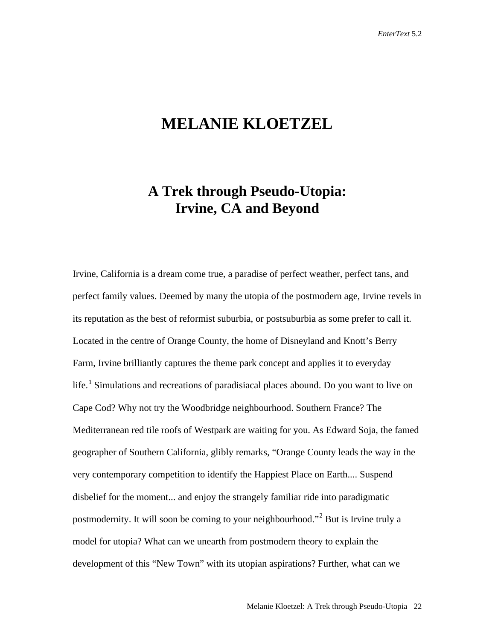## **MELANIE KLOETZEL**

## **A Trek through Pseudo-Utopia: Irvine, CA and Beyond**

Irvine, California is a dream come true, a paradise of perfect weather, perfect tans, and perfect family values. Deemed by many the utopia of the postmodern age, Irvine revels in its reputation as the best of reformist suburbia, or postsuburbia as some prefer to call it. Located in the centre of Orange County, the home of Disneyland and Knott's Berry Farm, Irvine brilliantly captures the theme park concept and applies it to everyday life.<sup>[1](#page-23-0)</sup> Simulations and recreations of paradisiacal places abound. Do you want to live on Cape Cod? Why not try the Woodbridge neighbourhood. Southern France? The Mediterranean red tile roofs of Westpark are waiting for you. As Edward Soja, the famed geographer of Southern California, glibly remarks, "Orange County leads the way in the very contemporary competition to identify the Happiest Place on Earth.... Suspend disbelief for the moment... and enjoy the strangely familiar ride into paradigmatic postmodernity. It will soon be coming to your neighbourhood."[2](#page-23-1) But is Irvine truly a model for utopia? What can we unearth from postmodern theory to explain the development of this "New Town" with its utopian aspirations? Further, what can we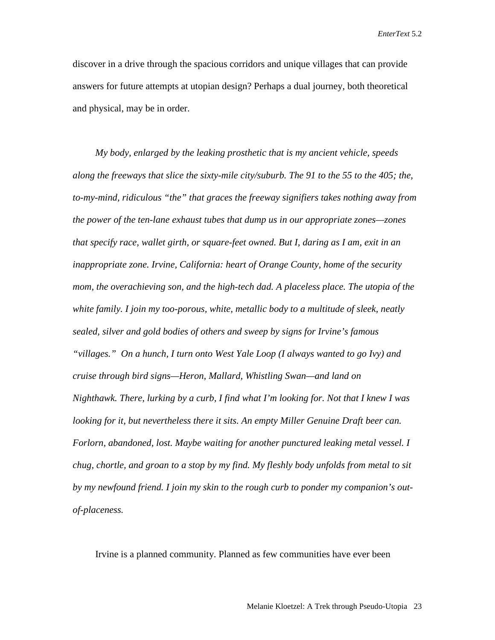discover in a drive through the spacious corridors and unique villages that can provide answers for future attempts at utopian design? Perhaps a dual journey, both theoretical and physical, may be in order.

*My body, enlarged by the leaking prosthetic that is my ancient vehicle, speeds along the freeways that slice the sixty-mile city/suburb. The 91 to the 55 to the 405; the, to-my-mind, ridiculous "the" that graces the freeway signifiers takes nothing away from the power of the ten-lane exhaust tubes that dump us in our appropriate zones—zones that specify race, wallet girth, or square-feet owned. But I, daring as I am, exit in an inappropriate zone. Irvine, California: heart of Orange County, home of the security*  mom, the overachieving son, and the high-tech dad. A placeless place. The utopia of the *white family. I join my too-porous, white, metallic body to a multitude of sleek, neatly sealed, silver and gold bodies of others and sweep by signs for Irvine's famous "villages." On a hunch, I turn onto West Yale Loop (I always wanted to go Ivy) and cruise through bird signs—Heron, Mallard, Whistling Swan—and land on Nighthawk. There, lurking by a curb, I find what I'm looking for. Not that I knew I was looking for it, but nevertheless there it sits. An empty Miller Genuine Draft beer can. Forlorn, abandoned, lost. Maybe waiting for another punctured leaking metal vessel. I chug, chortle, and groan to a stop by my find. My fleshly body unfolds from metal to sit by my newfound friend. I join my skin to the rough curb to ponder my companion's outof-placeness.*

Irvine is a planned community. Planned as few communities have ever been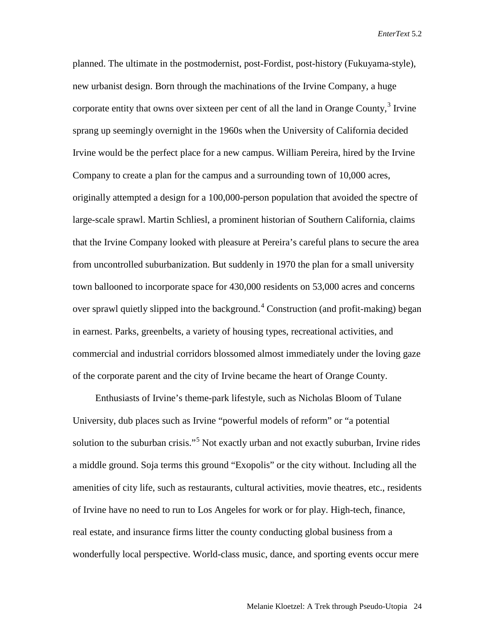planned. The ultimate in the postmodernist, post-Fordist, post-history (Fukuyama-style), new urbanist design. Born through the machinations of the Irvine Company, a huge corporate entity that owns over sixteen per cent of all the land in Orange County.<sup>[3](#page-24-0)</sup> Irvine sprang up seemingly overnight in the 1960s when the University of California decided Irvine would be the perfect place for a new campus. William Pereira, hired by the Irvine Company to create a plan for the campus and a surrounding town of 10,000 acres, originally attempted a design for a 100,000-person population that avoided the spectre of large-scale sprawl. Martin Schliesl, a prominent historian of Southern California, claims that the Irvine Company looked with pleasure at Pereira's careful plans to secure the area from uncontrolled suburbanization. But suddenly in 1970 the plan for a small university town ballooned to incorporate space for 430,000 residents on 53,000 acres and concerns over sprawl quietly slipped into the background.<sup>[4](#page-24-1)</sup> Construction (and profit-making) began in earnest. Parks, greenbelts, a variety of housing types, recreational activities, and commercial and industrial corridors blossomed almost immediately under the loving gaze of the corporate parent and the city of Irvine became the heart of Orange County.

Enthusiasts of Irvine's theme-park lifestyle, such as Nicholas Bloom of Tulane University, dub places such as Irvine "powerful models of reform" or "a potential solution to the suburban crisis."<sup>[5](#page-24-2)</sup> Not exactly urban and not exactly suburban, Irvine rides a middle ground. Soja terms this ground "Exopolis" or the city without. Including all the amenities of city life, such as restaurants, cultural activities, movie theatres, etc., residents of Irvine have no need to run to Los Angeles for work or for play. High-tech, finance, real estate, and insurance firms litter the county conducting global business from a wonderfully local perspective. World-class music, dance, and sporting events occur mere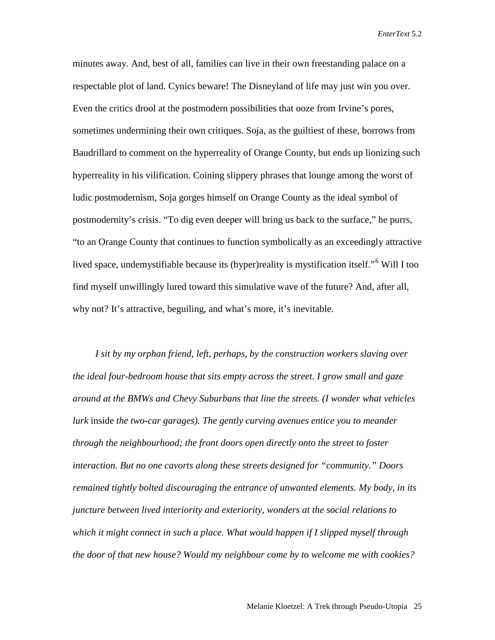minutes away. And, best of all, families can live in their own freestanding palace on a respectable plot of land. Cynics beware! The Disneyland of life may just win you over. Even the critics drool at the postmodern possibilities that ooze from Irvine's pores, sometimes undermining their own critiques. Soja, as the guiltiest of these, borrows from Baudrillard to comment on the hyperreality of Orange County, but ends up lionizing such hyperreality in his vilification. Coining slippery phrases that lounge among the worst of ludic postmodernism, Soja gorges himself on Orange County as the ideal symbol of postmodernity's crisis. "To dig even deeper will bring us back to the surface," he purrs, "to an Orange County that continues to function symbolically as an exceedingly attractive lived space, undemystifiable because its (hyper)reality is mystification itself."[6](#page-24-3) Will I too find myself unwillingly lured toward this simulative wave of the future? And, after all, why not? It's attractive, beguiling, and what's more, it's inevitable.

*I sit by my orphan friend, left, perhaps, by the construction workers slaving over the ideal four-bedroom house that sits empty across the street. I grow small and gaze around at the BMWs and Chevy Suburbans that line the streets. (I wonder what vehicles lurk* inside *the two-car garages). The gently curving avenues entice you to meander through the neighbourhood; the front doors open directly onto the street to foster interaction. But no one cavorts along these streets designed for "community." Doors remained tightly bolted discouraging the entrance of unwanted elements. My body, in its juncture between lived interiority and exteriority, wonders at the social relations to which it might connect in such a place. What would happen if I slipped myself through the door of that new house? Would my neighbour come by to welcome me with cookies?*

Melanie Kloetzel: A Trek through Pseudo-Utopia 25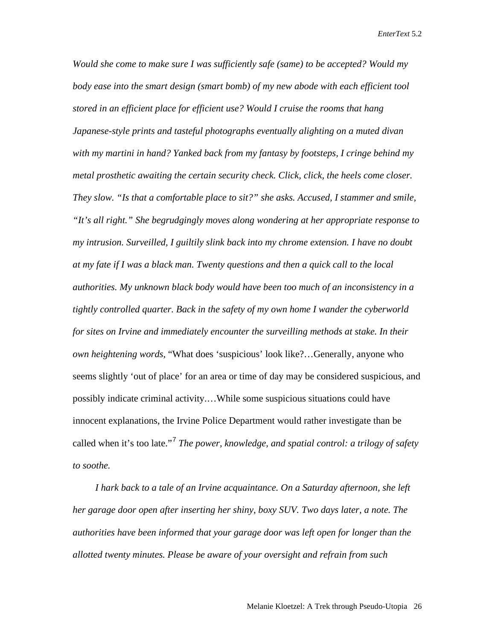*Would she come to make sure I was sufficiently safe (same) to be accepted? Would my body ease into the smart design (smart bomb) of my new abode with each efficient tool stored in an efficient place for efficient use? Would I cruise the rooms that hang Japanese-style prints and tasteful photographs eventually alighting on a muted divan with my martini in hand? Yanked back from my fantasy by footsteps, I cringe behind my metal prosthetic awaiting the certain security check. Click, click, the heels come closer. They slow. "Is that a comfortable place to sit?" she asks. Accused, I stammer and smile, "It's all right." She begrudgingly moves along wondering at her appropriate response to my intrusion. Surveilled, I guiltily slink back into my chrome extension. I have no doubt at my fate if I was a black man. Twenty questions and then a quick call to the local authorities. My unknown black body would have been too much of an inconsistency in a tightly controlled quarter. Back in the safety of my own home I wander the cyberworld for sites on Irvine and immediately encounter the surveilling methods at stake. In their own heightening words,* "What does 'suspicious' look like?…Generally, anyone who seems slightly 'out of place' for an area or time of day may be considered suspicious, and possibly indicate criminal activity.…While some suspicious situations could have innocent explanations, the Irvine Police Department would rather investigate than be called when it's too late."[7](#page-24-4) *The power, knowledge, and spatial control: a trilogy of safety to soothe.* 

*I hark back to a tale of an Irvine acquaintance. On a Saturday afternoon, she left her garage door open after inserting her shiny, boxy SUV. Two days later, a note. The authorities have been informed that your garage door was left open for longer than the allotted twenty minutes. Please be aware of your oversight and refrain from such*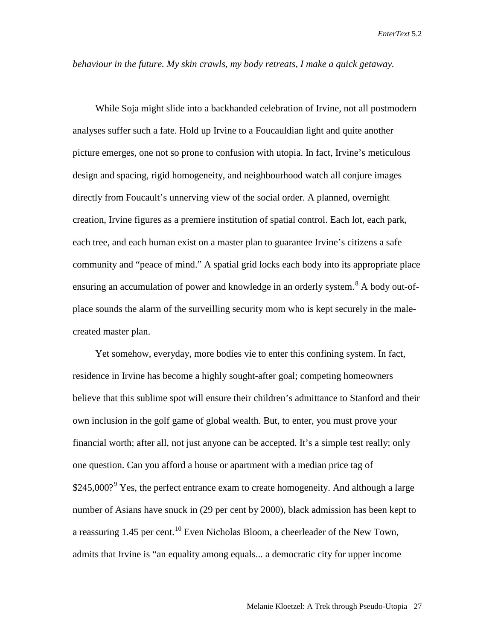*behaviour in the future. My skin crawls, my body retreats, I make a quick getaway.*

While Soja might slide into a backhanded celebration of Irvine, not all postmodern analyses suffer such a fate. Hold up Irvine to a Foucauldian light and quite another picture emerges, one not so prone to confusion with utopia. In fact, Irvine's meticulous design and spacing, rigid homogeneity, and neighbourhood watch all conjure images directly from Foucault's unnerving view of the social order. A planned, overnight creation, Irvine figures as a premiere institution of spatial control. Each lot, each park, each tree, and each human exist on a master plan to guarantee Irvine's citizens a safe community and "peace of mind." A spatial grid locks each body into its appropriate place ensuring an accumulation of power and knowledge in an orderly system.<sup>[8](#page-24-5)</sup> A body out-ofplace sounds the alarm of the surveilling security mom who is kept securely in the malecreated master plan.

Yet somehow, everyday, more bodies vie to enter this confining system. In fact, residence in Irvine has become a highly sought-after goal; competing homeowners believe that this sublime spot will ensure their children's admittance to Stanford and their own inclusion in the golf game of global wealth. But, to enter, you must prove your financial worth; after all, not just anyone can be accepted. It's a simple test really; only one question. Can you afford a house or apartment with a median price tag of  $$245,000$ ?<sup>[9](#page-24-6)</sup> Yes, the perfect entrance exam to create homogeneity. And although a large number of Asians have snuck in (29 per cent by 2000), black admission has been kept to a reassuring 1.45 per cent.<sup>[10](#page-24-7)</sup> Even Nicholas Bloom, a cheerleader of the New Town, admits that Irvine is "an equality among equals... a democratic city for upper income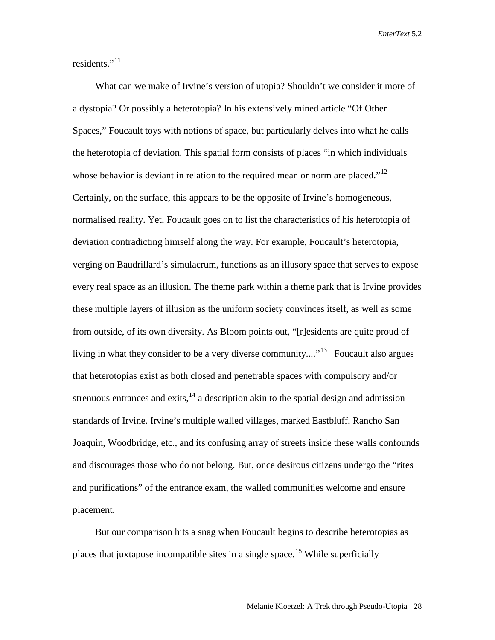residents."<sup>[11](#page-24-8)</sup>

What can we make of Irvine's version of utopia? Shouldn't we consider it more of a dystopia? Or possibly a heterotopia? In his extensively mined article "Of Other Spaces," Foucault toys with notions of space, but particularly delves into what he calls the heterotopia of deviation. This spatial form consists of places "in which individuals whose behavior is deviant in relation to the required mean or norm are placed."<sup>[12](#page-24-9)</sup> Certainly, on the surface, this appears to be the opposite of Irvine's homogeneous, normalised reality. Yet, Foucault goes on to list the characteristics of his heterotopia of deviation contradicting himself along the way. For example, Foucault's heterotopia, verging on Baudrillard's simulacrum, functions as an illusory space that serves to expose every real space as an illusion. The theme park within a theme park that is Irvine provides these multiple layers of illusion as the uniform society convinces itself, as well as some from outside, of its own diversity. As Bloom points out, "[r]esidents are quite proud of living in what they consider to be a very diverse community...."<sup>13</sup> Foucault also argues that heterotopias exist as both closed and penetrable spaces with compulsory and/or strenuous entrances and exits,  $14$  a description akin to the spatial design and admission standards of Irvine. Irvine's multiple walled villages, marked Eastbluff, Rancho San Joaquin, Woodbridge, etc., and its confusing array of streets inside these walls confounds and discourages those who do not belong. But, once desirous citizens undergo the "rites and purifications" of the entrance exam, the walled communities welcome and ensure placement.

But our comparison hits a snag when Foucault begins to describe heterotopias as places that juxtapose incompatible sites in a single space.<sup>[15](#page-24-12)</sup> While superficially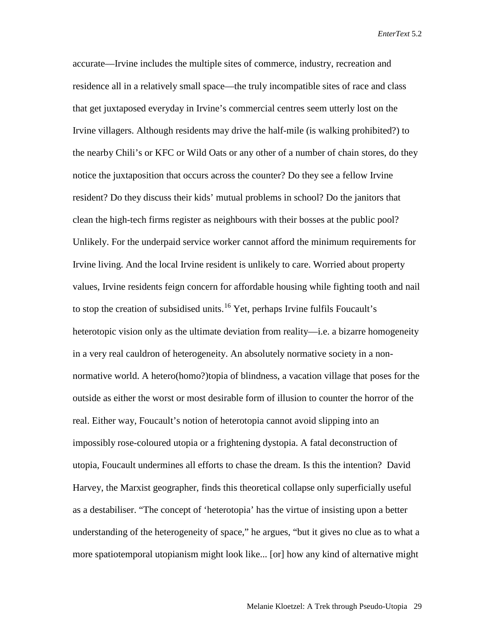accurate—Irvine includes the multiple sites of commerce, industry, recreation and residence all in a relatively small space—the truly incompatible sites of race and class that get juxtaposed everyday in Irvine's commercial centres seem utterly lost on the Irvine villagers. Although residents may drive the half-mile (is walking prohibited?) to the nearby Chili's or KFC or Wild Oats or any other of a number of chain stores, do they notice the juxtaposition that occurs across the counter? Do they see a fellow Irvine resident? Do they discuss their kids' mutual problems in school? Do the janitors that clean the high-tech firms register as neighbours with their bosses at the public pool? Unlikely. For the underpaid service worker cannot afford the minimum requirements for Irvine living. And the local Irvine resident is unlikely to care. Worried about property values, Irvine residents feign concern for affordable housing while fighting tooth and nail to stop the creation of subsidised units.<sup>[16](#page-24-13)</sup> Yet, perhaps Irvine fulfils Foucault's heterotopic vision only as the ultimate deviation from reality—i.e. a bizarre homogeneity in a very real cauldron of heterogeneity. An absolutely normative society in a nonnormative world. A hetero(homo?)topia of blindness, a vacation village that poses for the outside as either the worst or most desirable form of illusion to counter the horror of the real. Either way, Foucault's notion of heterotopia cannot avoid slipping into an impossibly rose-coloured utopia or a frightening dystopia. A fatal deconstruction of utopia, Foucault undermines all efforts to chase the dream. Is this the intention? David Harvey, the Marxist geographer, finds this theoretical collapse only superficially useful as a destabiliser. "The concept of 'heterotopia' has the virtue of insisting upon a better understanding of the heterogeneity of space," he argues, "but it gives no clue as to what a more spatiotemporal utopianism might look like... [or] how any kind of alternative might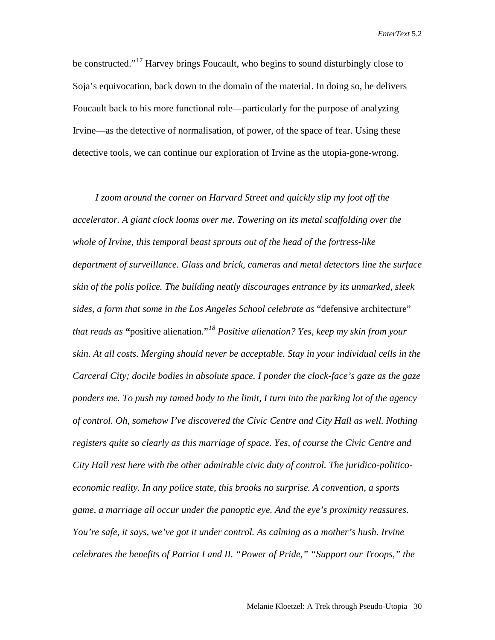be constructed."<sup>[17](#page-24-14)</sup> Harvey brings Foucault, who begins to sound disturbingly close to Soja's equivocation, back down to the domain of the material. In doing so, he delivers Foucault back to his more functional role—particularly for the purpose of analyzing Irvine—as the detective of normalisation, of power, of the space of fear. Using these detective tools, we can continue our exploration of Irvine as the utopia-gone-wrong.

*I zoom around the corner on Harvard Street and quickly slip my foot off the accelerator. A giant clock looms over me. Towering on its metal scaffolding over the whole of Irvine, this temporal beast sprouts out of the head of the fortress-like department of surveillance. Glass and brick, cameras and metal detectors line the surface skin of the polis police. The building neatly discourages entrance by its unmarked, sleek sides, a form that some in the Los Angeles School celebrate as* "defensive architecture" *that reads as* **"**positive alienation*.*"*[18](#page-24-15) Positive alienation? Yes, keep my skin from your skin. At all costs. Merging should never be acceptable. Stay in your individual cells in the Carceral City; docile bodies in absolute space. I ponder the clock-face's gaze as the gaze ponders me. To push my tamed body to the limit, I turn into the parking lot of the agency of control. Oh, somehow I've discovered the Civic Centre and City Hall as well. Nothing registers quite so clearly as this marriage of space. Yes, of course the Civic Centre and City Hall rest here with the other admirable civic duty of control. The juridico-politicoeconomic reality. In any police state, this brooks no surprise. A convention, a sports game, a marriage all occur under the panoptic eye. And the eye's proximity reassures. You're safe, it says, we've got it under control. As calming as a mother's hush. Irvine celebrates the benefits of Patriot I and II. "Power of Pride," "Support our Troops," the*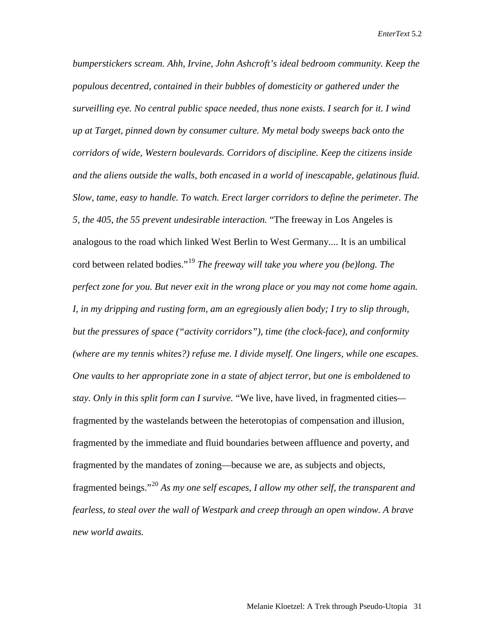*bumperstickers scream. Ahh, Irvine, John Ashcroft's ideal bedroom community. Keep the populous decentred, contained in their bubbles of domesticity or gathered under the surveilling eye. No central public space needed, thus none exists. I search for it. I wind up at Target, pinned down by consumer culture. My metal body sweeps back onto the corridors of wide, Western boulevards. Corridors of discipline. Keep the citizens inside and the aliens outside the walls, both encased in a world of inescapable, gelatinous fluid. Slow, tame, easy to handle. To watch. Erect larger corridors to define the perimeter. The 5, the 405, the 55 prevent undesirable interaction.* "The freeway in Los Angeles is analogous to the road which linked West Berlin to West Germany.... It is an umbilical cord between related bodies."[19](#page-24-16) *The freeway will take you where you (be)long. The perfect zone for you. But never exit in the wrong place or you may not come home again. I, in my dripping and rusting form, am an egregiously alien body; I try to slip through, but the pressures of space ("activity corridors"), time (the clock-face), and conformity (where are my tennis whites?) refuse me. I divide myself. One lingers, while one escapes. One vaults to her appropriate zone in a state of abject terror, but one is emboldened to stay. Only in this split form can I survive.* "We live, have lived, in fragmented cities fragmented by the wastelands between the heterotopias of compensation and illusion, fragmented by the immediate and fluid boundaries between affluence and poverty, and fragmented by the mandates of zoning—because we are, as subjects and objects, fragmented beings."[20](#page-24-17) *As my one self escapes, I allow my other self, the transparent and fearless, to steal over the wall of Westpark and creep through an open window. A brave new world awaits.*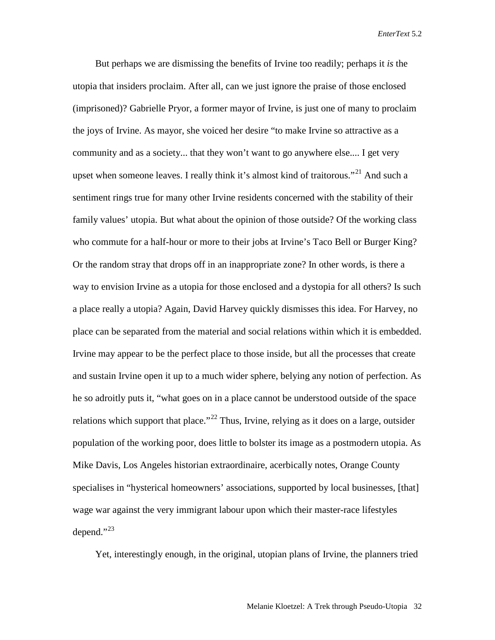But perhaps we are dismissing the benefits of Irvine too readily; perhaps it *is* the utopia that insiders proclaim. After all, can we just ignore the praise of those enclosed (imprisoned)? Gabrielle Pryor, a former mayor of Irvine, is just one of many to proclaim the joys of Irvine. As mayor, she voiced her desire "to make Irvine so attractive as a community and as a society... that they won't want to go anywhere else.... I get very upset when someone leaves. I really think it's almost kind of traitorous."<sup>[21](#page-24-18)</sup> And such a sentiment rings true for many other Irvine residents concerned with the stability of their family values' utopia. But what about the opinion of those outside? Of the working class who commute for a half-hour or more to their jobs at Irvine's Taco Bell or Burger King? Or the random stray that drops off in an inappropriate zone? In other words, is there a way to envision Irvine as a utopia for those enclosed and a dystopia for all others? Is such a place really a utopia? Again, David Harvey quickly dismisses this idea. For Harvey, no place can be separated from the material and social relations within which it is embedded. Irvine may appear to be the perfect place to those inside, but all the processes that create and sustain Irvine open it up to a much wider sphere, belying any notion of perfection. As he so adroitly puts it, "what goes on in a place cannot be understood outside of the space relations which support that place."<sup>[22](#page-24-19)</sup> Thus, Irvine, relying as it does on a large, outsider population of the working poor, does little to bolster its image as a postmodern utopia. As Mike Davis, Los Angeles historian extraordinaire, acerbically notes, Orange County specialises in "hysterical homeowners' associations, supported by local businesses, [that] wage war against the very immigrant labour upon which their master-race lifestyles depend." $^{23}$ 

Yet, interestingly enough, in the original, utopian plans of Irvine, the planners tried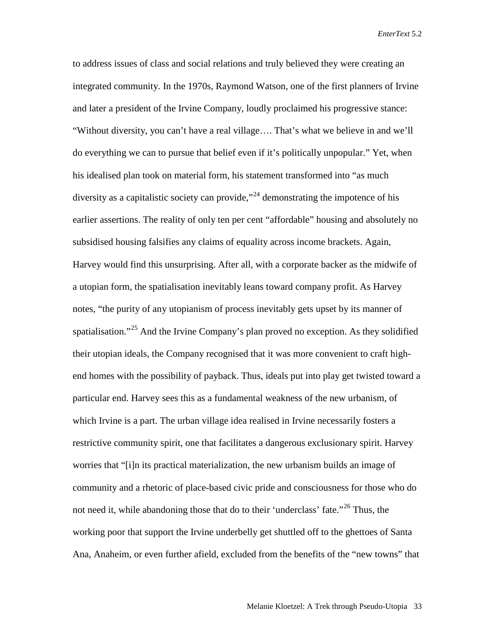to address issues of class and social relations and truly believed they were creating an integrated community. In the 1970s, Raymond Watson, one of the first planners of Irvine and later a president of the Irvine Company, loudly proclaimed his progressive stance: "Without diversity, you can't have a real village…. That's what we believe in and we'll do everything we can to pursue that belief even if it's politically unpopular." Yet, when his idealised plan took on material form, his statement transformed into "as much diversity as a capitalistic society can provide, $\frac{1}{2}$  demonstrating the impotence of his earlier assertions. The reality of only ten per cent "affordable" housing and absolutely no subsidised housing falsifies any claims of equality across income brackets. Again, Harvey would find this unsurprising. After all, with a corporate backer as the midwife of a utopian form, the spatialisation inevitably leans toward company profit. As Harvey notes, "the purity of any utopianism of process inevitably gets upset by its manner of spatialisation."<sup>[25](#page-24-22)</sup> And the Irvine Company's plan proved no exception. As they solidified their utopian ideals, the Company recognised that it was more convenient to craft highend homes with the possibility of payback. Thus, ideals put into play get twisted toward a particular end. Harvey sees this as a fundamental weakness of the new urbanism, of which Irvine is a part. The urban village idea realised in Irvine necessarily fosters a restrictive community spirit, one that facilitates a dangerous exclusionary spirit. Harvey worries that "[i]n its practical materialization, the new urbanism builds an image of community and a rhetoric of place-based civic pride and consciousness for those who do not need it, while abandoning those that do to their 'underclass' fate."<sup>[26](#page-24-23)</sup> Thus, the working poor that support the Irvine underbelly get shuttled off to the ghettoes of Santa Ana, Anaheim, or even further afield, excluded from the benefits of the "new towns" that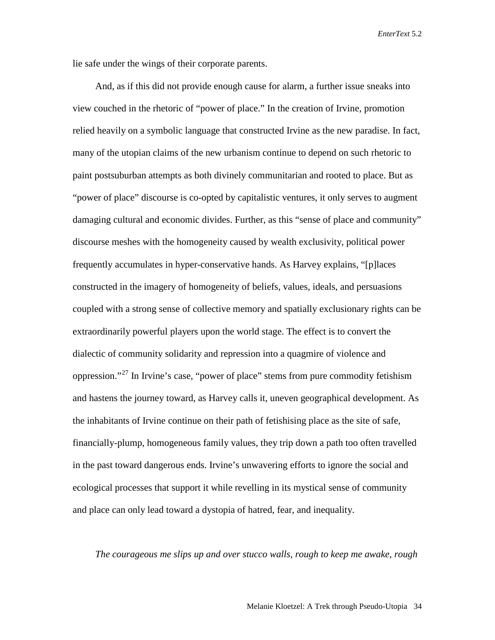lie safe under the wings of their corporate parents.

And, as if this did not provide enough cause for alarm, a further issue sneaks into view couched in the rhetoric of "power of place." In the creation of Irvine, promotion relied heavily on a symbolic language that constructed Irvine as the new paradise. In fact, many of the utopian claims of the new urbanism continue to depend on such rhetoric to paint postsuburban attempts as both divinely communitarian and rooted to place. But as "power of place" discourse is co-opted by capitalistic ventures, it only serves to augment damaging cultural and economic divides. Further, as this "sense of place and community" discourse meshes with the homogeneity caused by wealth exclusivity, political power frequently accumulates in hyper-conservative hands. As Harvey explains, "[p]laces constructed in the imagery of homogeneity of beliefs, values, ideals, and persuasions coupled with a strong sense of collective memory and spatially exclusionary rights can be extraordinarily powerful players upon the world stage. The effect is to convert the dialectic of community solidarity and repression into a quagmire of violence and oppression."[27](#page-24-24) In Irvine's case, "power of place" stems from pure commodity fetishism and hastens the journey toward, as Harvey calls it, uneven geographical development. As the inhabitants of Irvine continue on their path of fetishising place as the site of safe, financially-plump, homogeneous family values, they trip down a path too often travelled in the past toward dangerous ends. Irvine's unwavering efforts to ignore the social and ecological processes that support it while revelling in its mystical sense of community and place can only lead toward a dystopia of hatred, fear, and inequality.

*The courageous me slips up and over stucco walls, rough to keep me awake, rough*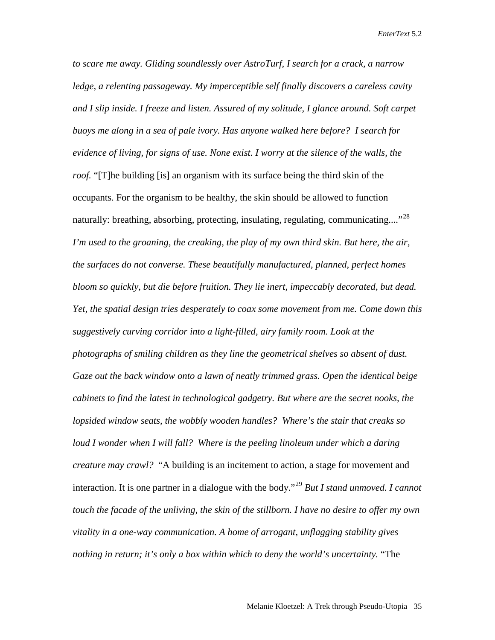*to scare me away. Gliding soundlessly over AstroTurf, I search for a crack, a narrow ledge, a relenting passageway. My imperceptible self finally discovers a careless cavity and I slip inside. I freeze and listen. Assured of my solitude, I glance around. Soft carpet buoys me along in a sea of pale ivory. Has anyone walked here before? I search for evidence of living, for signs of use. None exist. I worry at the silence of the walls, the roof.* "[T]he building [is] an organism with its surface being the third skin of the occupants. For the organism to be healthy, the skin should be allowed to function naturally: breathing, absorbing, protecting, insulating, regulating, communicating...."<sup>[28](#page-24-25)</sup> *I'm used to the groaning, the creaking, the play of my own third skin. But here, the air, the surfaces do not converse. These beautifully manufactured, planned, perfect homes bloom so quickly, but die before fruition. They lie inert, impeccably decorated, but dead. Yet, the spatial design tries desperately to coax some movement from me. Come down this suggestively curving corridor into a light-filled, airy family room. Look at the photographs of smiling children as they line the geometrical shelves so absent of dust. Gaze out the back window onto a lawn of neatly trimmed grass. Open the identical beige cabinets to find the latest in technological gadgetry. But where are the secret nooks, the lopsided window seats, the wobbly wooden handles? Where's the stair that creaks so loud I wonder when I will fall? Where is the peeling linoleum under which a daring creature may crawl?* "A building is an incitement to action, a stage for movement and interaction. It is one partner in a dialogue with the body."[29](#page-24-26) *But I stand unmoved. I cannot touch the facade of the unliving, the skin of the stillborn. I have no desire to offer my own vitality in a one-way communication. A home of arrogant, unflagging stability gives nothing in return; it's only a box within which to deny the world's uncertainty.* "The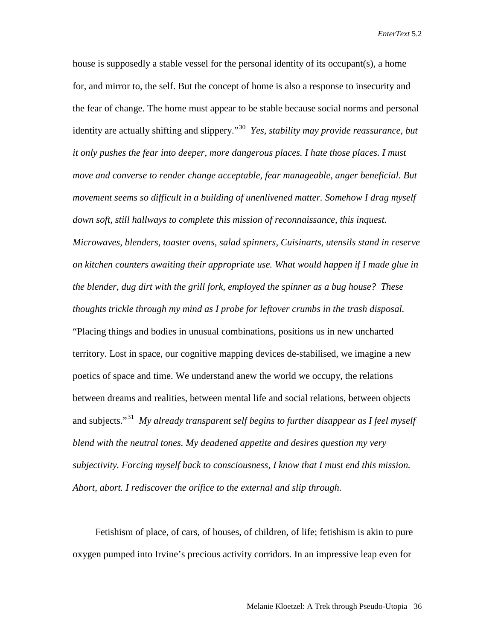house is supposedly a stable vessel for the personal identity of its occupant(s), a home for, and mirror to, the self. But the concept of home is also a response to insecurity and the fear of change. The home must appear to be stable because social norms and personal identity are actually shifting and slippery."[30](#page-24-27) *Yes, stability may provide reassurance, but it only pushes the fear into deeper, more dangerous places. I hate those places. I must move and converse to render change acceptable, fear manageable, anger beneficial. But movement seems so difficult in a building of unenlivened matter. Somehow I drag myself down soft, still hallways to complete this mission of reconnaissance, this inquest. Microwaves, blenders, toaster ovens, salad spinners, Cuisinarts, utensils stand in reserve on kitchen counters awaiting their appropriate use. What would happen if I made glue in the blender, dug dirt with the grill fork, employed the spinner as a bug house? These thoughts trickle through my mind as I probe for leftover crumbs in the trash disposal.*  "Placing things and bodies in unusual combinations, positions us in new uncharted territory. Lost in space, our cognitive mapping devices de-stabilised, we imagine a new poetics of space and time. We understand anew the world we occupy, the relations between dreams and realities, between mental life and social relations, between objects and subjects."[31](#page-24-28) *My already transparent self begins to further disappear as I feel myself blend with the neutral tones. My deadened appetite and desires question my very subjectivity. Forcing myself back to consciousness, I know that I must end this mission. Abort, abort. I rediscover the orifice to the external and slip through.*

Fetishism of place, of cars, of houses, of children, of life; fetishism is akin to pure oxygen pumped into Irvine's precious activity corridors. In an impressive leap even for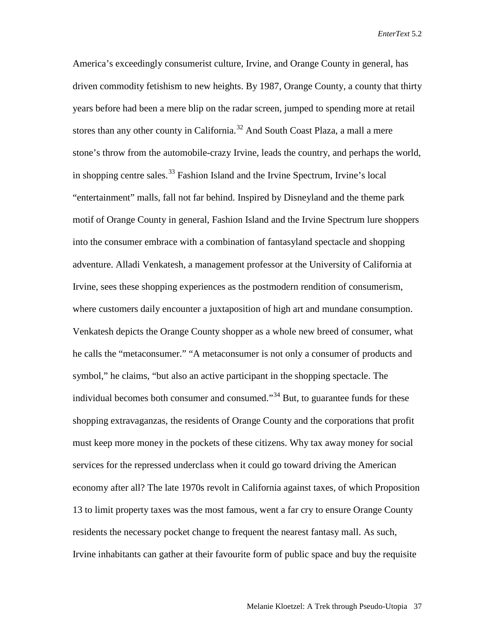America's exceedingly consumerist culture, Irvine, and Orange County in general, has driven commodity fetishism to new heights. By 1987, Orange County, a county that thirty years before had been a mere blip on the radar screen, jumped to spending more at retail stores than any other county in California.<sup>[32](#page-24-29)</sup> And South Coast Plaza, a mall a mere stone's throw from the automobile-crazy Irvine, leads the country, and perhaps the world, in shopping centre sales.<sup>[33](#page-24-30)</sup> Fashion Island and the Irvine Spectrum, Irvine's local "entertainment" malls, fall not far behind. Inspired by Disneyland and the theme park motif of Orange County in general, Fashion Island and the Irvine Spectrum lure shoppers into the consumer embrace with a combination of fantasyland spectacle and shopping adventure. Alladi Venkatesh, a management professor at the University of California at Irvine, sees these shopping experiences as the postmodern rendition of consumerism, where customers daily encounter a juxtaposition of high art and mundane consumption. Venkatesh depicts the Orange County shopper as a whole new breed of consumer, what he calls the "metaconsumer." "A metaconsumer is not only a consumer of products and symbol," he claims, "but also an active participant in the shopping spectacle. The individual becomes both consumer and consumed."<sup>[34](#page-24-31)</sup> But, to guarantee funds for these shopping extravaganzas, the residents of Orange County and the corporations that profit must keep more money in the pockets of these citizens. Why tax away money for social services for the repressed underclass when it could go toward driving the American economy after all? The late 1970s revolt in California against taxes, of which Proposition 13 to limit property taxes was the most famous, went a far cry to ensure Orange County residents the necessary pocket change to frequent the nearest fantasy mall. As such, Irvine inhabitants can gather at their favourite form of public space and buy the requisite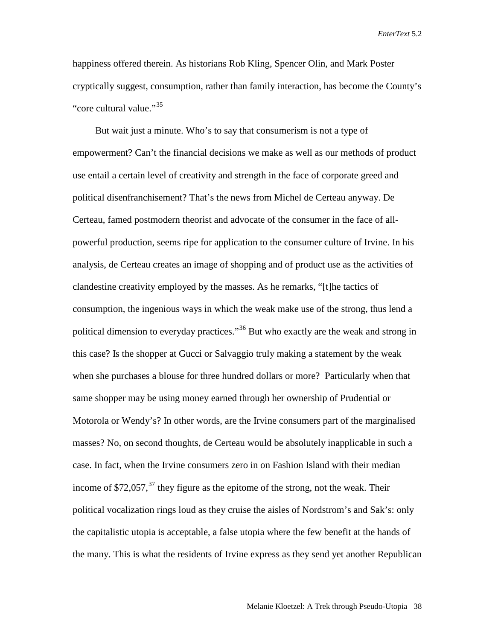happiness offered therein. As historians Rob Kling, Spencer Olin, and Mark Poster cryptically suggest, consumption, rather than family interaction, has become the County's "core cultural value."<sup>[35](#page-24-32)</sup>

But wait just a minute. Who's to say that consumerism is not a type of empowerment? Can't the financial decisions we make as well as our methods of product use entail a certain level of creativity and strength in the face of corporate greed and political disenfranchisement? That's the news from Michel de Certeau anyway. De Certeau, famed postmodern theorist and advocate of the consumer in the face of allpowerful production, seems ripe for application to the consumer culture of Irvine. In his analysis, de Certeau creates an image of shopping and of product use as the activities of clandestine creativity employed by the masses. As he remarks, "[t]he tactics of consumption, the ingenious ways in which the weak make use of the strong, thus lend a political dimension to everyday practices."<sup>[36](#page-24-33)</sup> But who exactly are the weak and strong in this case? Is the shopper at Gucci or Salvaggio truly making a statement by the weak when she purchases a blouse for three hundred dollars or more? Particularly when that same shopper may be using money earned through her ownership of Prudential or Motorola or Wendy's? In other words, are the Irvine consumers part of the marginalised masses? No, on second thoughts, de Certeau would be absolutely inapplicable in such a case. In fact, when the Irvine consumers zero in on Fashion Island with their median income of \$72,057, $^{37}$  $^{37}$  $^{37}$  they figure as the epitome of the strong, not the weak. Their political vocalization rings loud as they cruise the aisles of Nordstrom's and Sak's: only the capitalistic utopia is acceptable, a false utopia where the few benefit at the hands of the many. This is what the residents of Irvine express as they send yet another Republican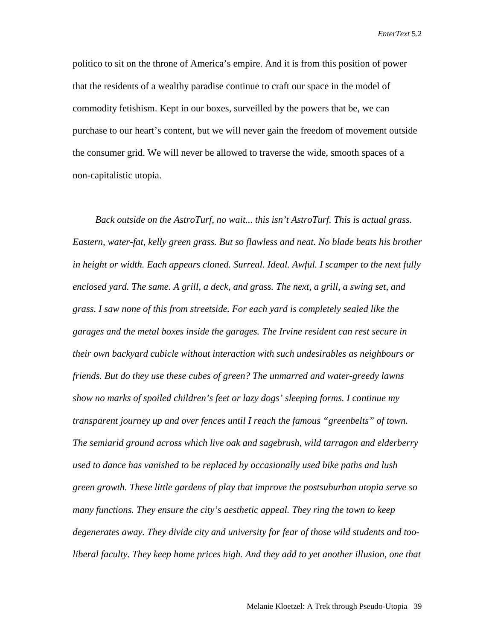politico to sit on the throne of America's empire. And it is from this position of power that the residents of a wealthy paradise continue to craft our space in the model of commodity fetishism. Kept in our boxes, surveilled by the powers that be, we can purchase to our heart's content, but we will never gain the freedom of movement outside the consumer grid. We will never be allowed to traverse the wide, smooth spaces of a non-capitalistic utopia.

*Back outside on the AstroTurf, no wait... this isn't AstroTurf. This is actual grass. Eastern, water-fat, kelly green grass. But so flawless and neat. No blade beats his brother in height or width. Each appears cloned. Surreal. Ideal. Awful. I scamper to the next fully enclosed yard. The same. A grill, a deck, and grass. The next, a grill, a swing set, and grass. I saw none of this from streetside. For each yard is completely sealed like the garages and the metal boxes inside the garages. The Irvine resident can rest secure in their own backyard cubicle without interaction with such undesirables as neighbours or friends. But do they use these cubes of green? The unmarred and water-greedy lawns show no marks of spoiled children's feet or lazy dogs' sleeping forms. I continue my transparent journey up and over fences until I reach the famous "greenbelts" of town. The semiarid ground across which live oak and sagebrush, wild tarragon and elderberry used to dance has vanished to be replaced by occasionally used bike paths and lush green growth. These little gardens of play that improve the postsuburban utopia serve so many functions. They ensure the city's aesthetic appeal. They ring the town to keep degenerates away. They divide city and university for fear of those wild students and tooliberal faculty. They keep home prices high. And they add to yet another illusion, one that*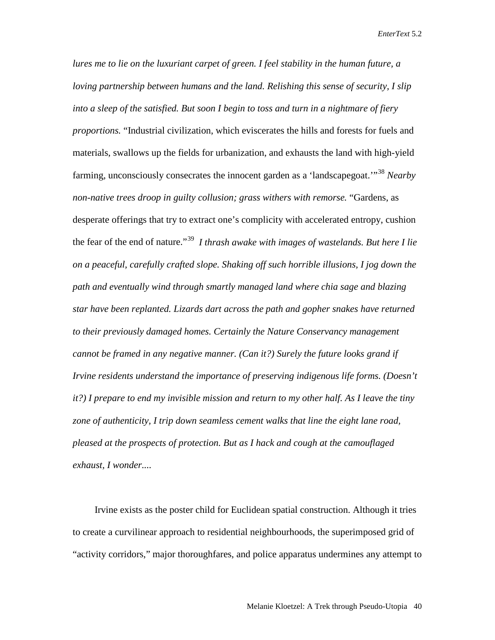*lures me to lie on the luxuriant carpet of green. I feel stability in the human future, a loving partnership between humans and the land. Relishing this sense of security, I slip into a sleep of the satisfied. But soon I begin to toss and turn in a nightmare of fiery proportions.* "Industrial civilization, which eviscerates the hills and forests for fuels and materials, swallows up the fields for urbanization, and exhausts the land with high-yield farming, unconsciously consecrates the innocent garden as a 'landscapegoat.'"[38](#page-24-35) *Nearby non-native trees droop in guilty collusion; grass withers with remorse.* "Gardens, as desperate offerings that try to extract one's complicity with accelerated entropy, cushion the fear of the end of nature."[39](#page-24-36) *I thrash awake with images of wastelands. But here I lie on a peaceful, carefully crafted slope. Shaking off such horrible illusions, I jog down the path and eventually wind through smartly managed land where chia sage and blazing star have been replanted. Lizards dart across the path and gopher snakes have returned to their previously damaged homes. Certainly the Nature Conservancy management cannot be framed in any negative manner. (Can it?) Surely the future looks grand if Irvine residents understand the importance of preserving indigenous life forms. (Doesn't it?) I prepare to end my invisible mission and return to my other half. As I leave the tiny zone of authenticity, I trip down seamless cement walks that line the eight lane road, pleased at the prospects of protection. But as I hack and cough at the camouflaged exhaust, I wonder....*

 Irvine exists as the poster child for Euclidean spatial construction. Although it tries to create a curvilinear approach to residential neighbourhoods, the superimposed grid of "activity corridors," major thoroughfares, and police apparatus undermines any attempt to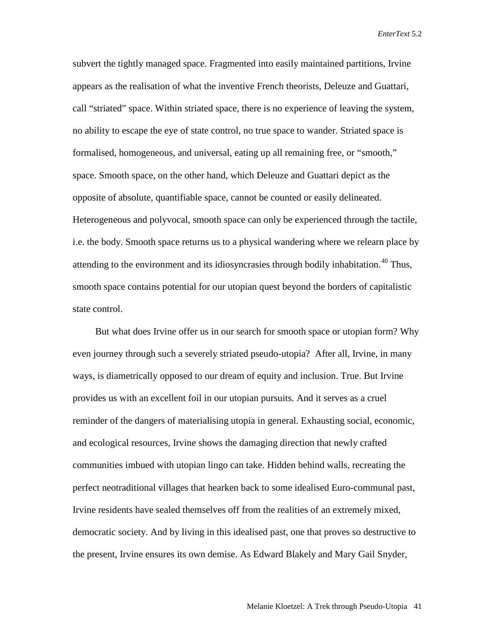subvert the tightly managed space. Fragmented into easily maintained partitions, Irvine appears as the realisation of what the inventive French theorists, Deleuze and Guattari, call "striated" space. Within striated space, there is no experience of leaving the system, no ability to escape the eye of state control, no true space to wander. Striated space is formalised, homogeneous, and universal, eating up all remaining free, or "smooth," space. Smooth space, on the other hand, which Deleuze and Guattari depict as the opposite of absolute, quantifiable space, cannot be counted or easily delineated. Heterogeneous and polyvocal, smooth space can only be experienced through the tactile, i.e. the body. Smooth space returns us to a physical wandering where we relearn place by attending to the environment and its idiosyncrasies through bodily inhabitation.<sup>[40](#page-24-37)</sup> Thus, smooth space contains potential for our utopian quest beyond the borders of capitalistic state control.

But what does Irvine offer us in our search for smooth space or utopian form? Why even journey through such a severely striated pseudo-utopia? After all, Irvine, in many ways, is diametrically opposed to our dream of equity and inclusion. True. But Irvine provides us with an excellent foil in our utopian pursuits. And it serves as a cruel reminder of the dangers of materialising utopia in general. Exhausting social, economic, and ecological resources, Irvine shows the damaging direction that newly crafted communities imbued with utopian lingo can take. Hidden behind walls, recreating the perfect neotraditional villages that hearken back to some idealised Euro-communal past, Irvine residents have sealed themselves off from the realities of an extremely mixed, democratic society. And by living in this idealised past, one that proves so destructive to the present, Irvine ensures its own demise. As Edward Blakely and Mary Gail Snyder,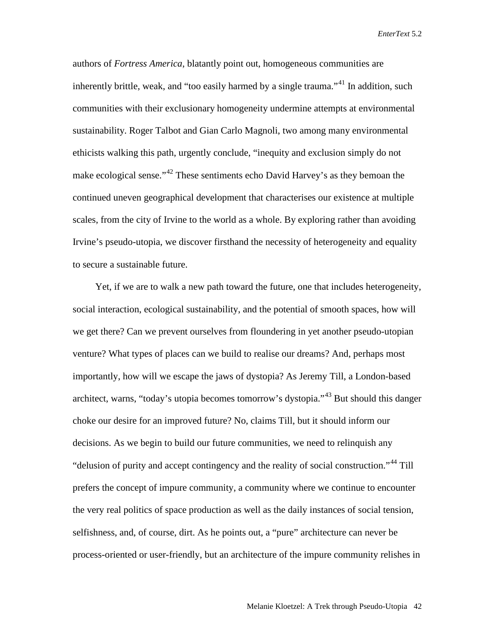authors of *Fortress America*, blatantly point out, homogeneous communities are inherently brittle, weak, and "too easily harmed by a single trauma."<sup>[41](#page-24-38)</sup> In addition, such communities with their exclusionary homogeneity undermine attempts at environmental sustainability. Roger Talbot and Gian Carlo Magnoli, two among many environmental ethicists walking this path, urgently conclude, "inequity and exclusion simply do not make ecological sense."<sup>[42](#page-24-39)</sup> These sentiments echo David Harvey's as they bemoan the continued uneven geographical development that characterises our existence at multiple scales, from the city of Irvine to the world as a whole. By exploring rather than avoiding Irvine's pseudo-utopia, we discover firsthand the necessity of heterogeneity and equality to secure a sustainable future.

Yet, if we are to walk a new path toward the future, one that includes heterogeneity, social interaction, ecological sustainability, and the potential of smooth spaces, how will we get there? Can we prevent ourselves from floundering in yet another pseudo-utopian venture? What types of places can we build to realise our dreams? And, perhaps most importantly, how will we escape the jaws of dystopia? As Jeremy Till, a London-based architect, warns, "today's utopia becomes tomorrow's dystopia."[43](#page-24-40) But should this danger choke our desire for an improved future? No, claims Till, but it should inform our decisions. As we begin to build our future communities, we need to relinquish any "delusion of purity and accept contingency and the reality of social construction."[44](#page-24-41) Till prefers the concept of impure community, a community where we continue to encounter the very real politics of space production as well as the daily instances of social tension, selfishness, and, of course, dirt. As he points out, a "pure" architecture can never be process-oriented or user-friendly, but an architecture of the impure community relishes in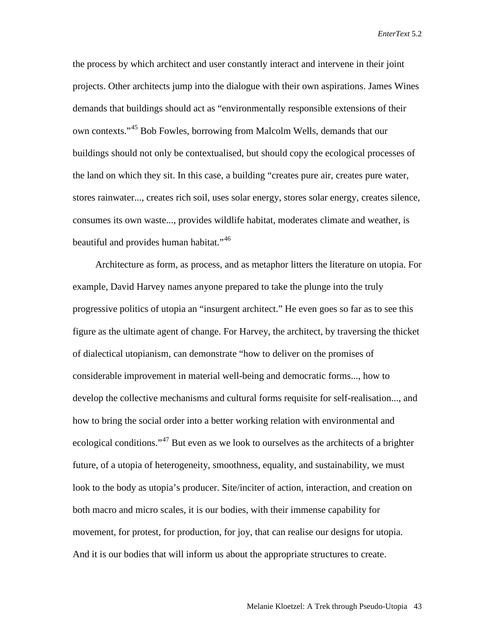the process by which architect and user constantly interact and intervene in their joint projects. Other architects jump into the dialogue with their own aspirations. James Wines demands that buildings should act as "environmentally responsible extensions of their own contexts."[45](#page-24-42) Bob Fowles, borrowing from Malcolm Wells, demands that our buildings should not only be contextualised, but should copy the ecological processes of the land on which they sit. In this case, a building "creates pure air, creates pure water, stores rainwater..., creates rich soil, uses solar energy, stores solar energy, creates silence, consumes its own waste..., provides wildlife habitat, moderates climate and weather, is beautiful and provides human habitat."<sup>46</sup>

Architecture as form, as process, and as metaphor litters the literature on utopia. For example, David Harvey names anyone prepared to take the plunge into the truly progressive politics of utopia an "insurgent architect." He even goes so far as to see this figure as the ultimate agent of change. For Harvey, the architect, by traversing the thicket of dialectical utopianism, can demonstrate "how to deliver on the promises of considerable improvement in material well-being and democratic forms..., how to develop the collective mechanisms and cultural forms requisite for self-realisation..., and how to bring the social order into a better working relation with environmental and ecological conditions."<sup>[47](#page-24-44)</sup> But even as we look to ourselves as the architects of a brighter future, of a utopia of heterogeneity, smoothness, equality, and sustainability, we must look to the body as utopia's producer. Site/inciter of action, interaction, and creation on both macro and micro scales, it is our bodies, with their immense capability for movement, for protest, for production, for joy, that can realise our designs for utopia. And it is our bodies that will inform us about the appropriate structures to create.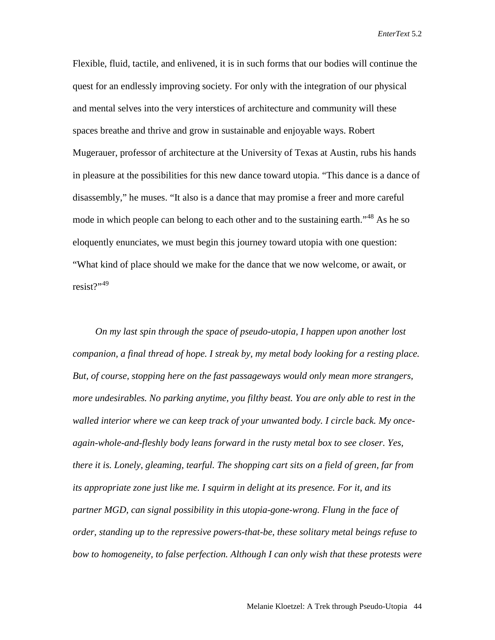Flexible, fluid, tactile, and enlivened, it is in such forms that our bodies will continue the quest for an endlessly improving society. For only with the integration of our physical and mental selves into the very interstices of architecture and community will these spaces breathe and thrive and grow in sustainable and enjoyable ways. Robert Mugerauer, professor of architecture at the University of Texas at Austin, rubs his hands in pleasure at the possibilities for this new dance toward utopia. "This dance is a dance of disassembly," he muses. "It also is a dance that may promise a freer and more careful mode in which people can belong to each other and to the sustaining earth."<sup>[48](#page-24-45)</sup> As he so eloquently enunciates, we must begin this journey toward utopia with one question: "What kind of place should we make for the dance that we now welcome, or await, or resist?" $^{49}$  $^{49}$  $^{49}$ 

*On my last spin through the space of pseudo-utopia, I happen upon another lost companion, a final thread of hope. I streak by, my metal body looking for a resting place. But, of course, stopping here on the fast passageways would only mean more strangers, more undesirables. No parking anytime, you filthy beast. You are only able to rest in the walled interior where we can keep track of your unwanted body. I circle back. My onceagain-whole-and-fleshly body leans forward in the rusty metal box to see closer. Yes, there it is. Lonely, gleaming, tearful. The shopping cart sits on a field of green, far from its appropriate zone just like me. I squirm in delight at its presence. For it, and its partner MGD, can signal possibility in this utopia-gone-wrong. Flung in the face of order, standing up to the repressive powers-that-be, these solitary metal beings refuse to bow to homogeneity, to false perfection. Although I can only wish that these protests were*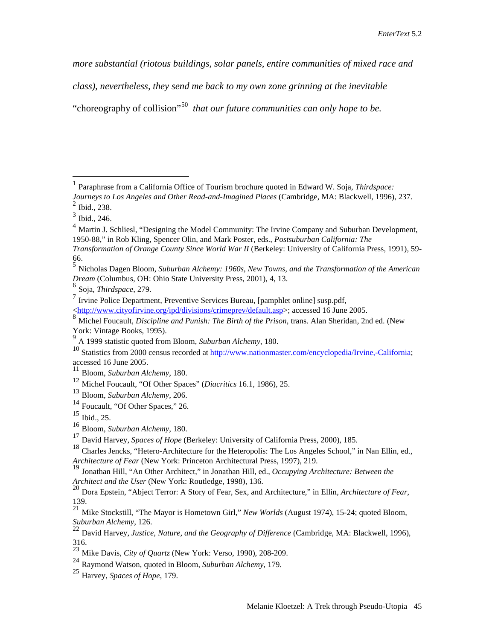*more substantial (riotous buildings, solar panels, entire communities of mixed race and* 

*class), nevertheless, they send me back to my own zone grinning at the inevitable* 

"choreography of collision"[50](#page-24-47) *that our future communities can only hope to be.*

<sup>6</sup> Soja, *Thirdspace*, 279.

<sup>7</sup> Irvine Police Department, Preventive Services Bureau, [pamphlet online] susp.pdf,

[<http://www.cityofirvine.org/ipd/divisions/crimeprev/default.asp>](http://www.cityofirvine.org/ipd/divisions/crimeprev/default.asp); accessed 16 June 2005.

<span id="page-23-0"></span> <sup>1</sup> Paraphrase from a California Office of Tourism brochure quoted in Edward W. Soja, *Thirdspace: Journeys to Los Angeles and Other Read-and-Imagined Places* (Cambridge, MA: Blackwell, 1996), 237.

<span id="page-23-1"></span> $\frac{2}{3}$  Ibid., 238.<br> $\frac{3}{1}$  Ibid., 246.

<sup>&</sup>lt;sup>4</sup> Martin J. Schliesl, "Designing the Model Community: The Irvine Company and Suburban Development, 1950-88," in Rob Kling, Spencer Olin, and Mark Poster, eds., *Postsuburban California: The Transformation of Orange County Since World War II* (Berkeley: University of California Press, 1991), 59- 66.

<sup>5</sup> Nicholas Dagen Bloom, *Suburban Alchemy: 1960s, New Towns, and the Transformation of the American Dream* (Columbus, OH: Ohio State University Press, 2001), 4, 13.

<sup>8</sup> Michel Foucault, *Discipline and Punish: The Birth of the Prison*, trans. Alan Sheridan, 2nd ed. (New York: Vintage Books, 1995).

<sup>9</sup> A 1999 statistic quoted from Bloom, *Suburban Alchemy*, 180.

<sup>&</sup>lt;sup>10</sup> Statistics from 2000 census recorded at http://www.nationmaster.com/encyclopedia/Irvine.-California: accessed 16 June 2005.

<sup>11</sup> Bloom, *Suburban Alchemy*, 180.

<sup>12</sup> Michel Foucault, "Of Other Spaces" (*Diacritics* 16.1, 1986), 25.

<sup>13</sup> Bloom, *Suburban Alchemy*, 206.

<sup>&</sup>lt;sup>14</sup> Foucault, "Of Other Spaces," 26.

<sup>15</sup> Ibid., 25.

<sup>16</sup> Bloom, *Suburban Alchemy*, 180.

<sup>17</sup> David Harvey, *Spaces of Hope* (Berkeley: University of California Press, 2000), 185.

<sup>&</sup>lt;sup>18</sup> Charles Jencks, "Hetero-Architecture for the Heteropolis: The Los Angeles School," in Nan Ellin, ed., *Architecture of Fear* (New York: Princeton Architectural Press, 1997), 219.

<sup>19</sup> Jonathan Hill, "An Other Architect," in Jonathan Hill, ed., *Occupying Architecture: Between the Architect and the User* (New York: Routledge, 1998), 136.

<sup>20</sup> Dora Epstein, "Abject Terror: A Story of Fear, Sex, and Architecture," in Ellin, *Architecture of Fear*, 139.

<sup>21</sup> Mike Stockstill, "The Mayor is Hometown Girl," *New Worlds* (August 1974), 15-24; quoted Bloom, *Suburban Alchemy*, 126.

<sup>22</sup> David Harvey, *Justice, Nature, and the Geography of Difference* (Cambridge, MA: Blackwell, 1996), 316.

<sup>23</sup> Mike Davis, *City of Quartz* (New York: Verso, 1990), 208-209.

<sup>24</sup> Raymond Watson, quoted in Bloom, *Suburban Alchemy*, 179.

<sup>25</sup> Harvey, *Spaces of Hope*, 179.